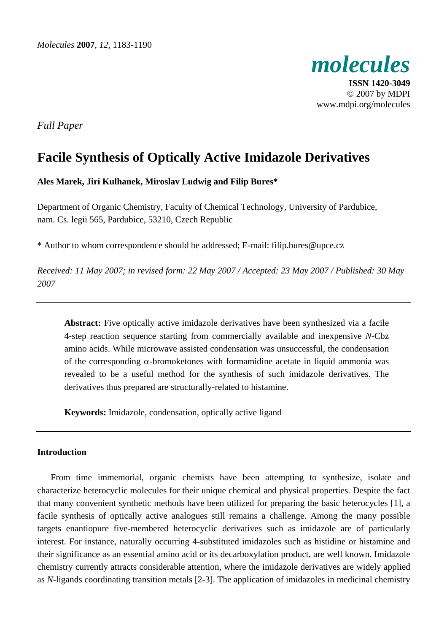

**ISSN 1420-3049**  © 2007 by MDPI www.mdpi.org/molecules

*Full Paper* 

# **Facile Synthesis of Optically Active Imidazole Derivatives**

## **Ales Marek, Jiri Kulhanek, Miroslav Ludwig and Filip Bures\***

Department of Organic Chemistry, Faculty of Chemical Technology, University of Pardubice, nam. Cs. legii 565, Pardubice, 53210, Czech Republic

\* Author to whom correspondence should be addressed; E-mail: filip.bures@upce.cz

*Received: 11 May 2007; in revised form: 22 May 2007 / Accepted: 23 May 2007 / Published: 30 May 2007* 

**Abstract:** Five optically active imidazole derivatives have been synthesized via a facile 4-step reaction sequence starting from commercially available and inexpensive *N*-Cbz amino acids. While microwave assisted condensation was unsuccessful, the condensation of the corresponding  $\alpha$ -bromoketones with formamidine acetate in liquid ammonia was revealed to be a useful method for the synthesis of such imidazole derivatives. The derivatives thus prepared are structurally-related to histamine.

**Keywords:** Imidazole, condensation, optically active ligand

### **Introduction**

From time immemorial, organic chemists have been attempting to synthesize, isolate and characterize heterocyclic molecules for their unique chemical and physical properties. Despite the fact that many convenient synthetic methods have been utilized for preparing the basic heterocycles [1], a facile synthesis of optically active analogues still remains a challenge. Among the many possible targets enantiopure five-membered heterocyclic derivatives such as imidazole are of particularly interest. For instance, naturally occurring 4-substituted imidazoles such as histidine or histamine and their significance as an essential amino acid or its decarboxylation product, are well known. Imidazole chemistry currently attracts considerable attention, where the imidazole derivatives are widely applied as *N*-ligands coordinating transition metals [2-3]. The application of imidazoles in medicinal chemistry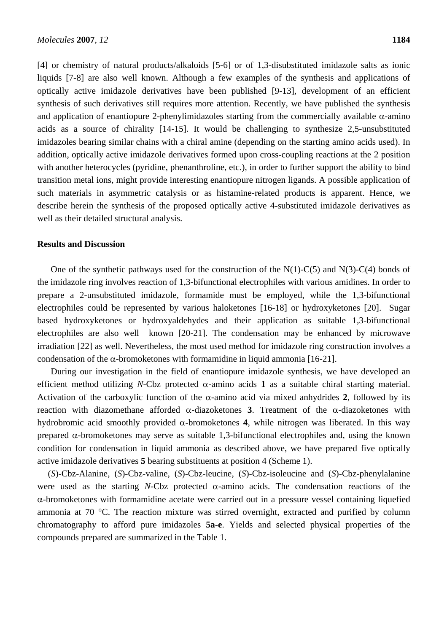[4] or chemistry of natural products/alkaloids [5-6] or of 1,3-disubstituted imidazole salts as ionic liquids [7-8] are also well known. Although a few examples of the synthesis and applications of optically active imidazole derivatives have been published [9-13], development of an efficient synthesis of such derivatives still requires more attention. Recently, we have published the synthesis and application of enantiopure 2-phenylimidazoles starting from the commercially available  $\alpha$ -amino acids as a source of chirality [14-15]. It would be challenging to synthesize 2,5-unsubstituted imidazoles bearing similar chains with a chiral amine (depending on the starting amino acids used). In addition, optically active imidazole derivatives formed upon cross-coupling reactions at the 2 position with another heterocycles (pyridine, phenanthroline, etc.), in order to further support the ability to bind transition metal ions, might provide interesting enantiopure nitrogen ligands. A possible application of such materials in asymmetric catalysis or as histamine-related products is apparent. Hence, we describe herein the synthesis of the proposed optically active 4-substituted imidazole derivatives as well as their detailed structural analysis.

## **Results and Discussion**

One of the synthetic pathways used for the construction of the  $N(1)$ -C(5) and  $N(3)$ -C(4) bonds of the imidazole ring involves reaction of 1,3-bifunctional electrophiles with various amidines. In order to prepare a 2-unsubstituted imidazole, formamide must be employed, while the 1,3-bifunctional electrophiles could be represented by various haloketones [16-18] or hydroxyketones [20]. Sugar based hydroxyketones or hydroxyaldehydes and their application as suitable 1,3-bifunctional electrophiles are also well known [20-21]. The condensation may be enhanced by microwave irradiation [22] as well. Nevertheless, the most used method for imidazole ring construction involves a condensation of the  $\alpha$ -bromoketones with formamidine in liquid ammonia [16-21].

During our investigation in the field of enantiopure imidazole synthesis, we have developed an efficient method utilizing *N*-Cbz protected  $\alpha$ -amino acids 1 as a suitable chiral starting material. Activation of the carboxylic function of the  $\alpha$ -amino acid via mixed anhydrides 2, followed by its reaction with diazomethane afforded α-diazoketones **3**. Treatment of the α-diazoketones with hydrobromic acid smoothly provided α-bromoketones **4**, while nitrogen was liberated. In this way prepared α-bromoketones may serve as suitable 1,3-bifunctional electrophiles and, using the known condition for condensation in liquid ammonia as described above, we have prepared five optically active imidazole derivatives **5** bearing substituents at position 4 (Scheme 1).

(*S*)-Cbz-Alanine, (*S*)-Cbz-valine, (*S*)-Cbz-leucine, (*S*)-Cbz-isoleucine and (*S*)-Cbz-phenylalanine were used as the starting *N*-Cbz protected  $\alpha$ -amino acids. The condensation reactions of the  $\alpha$ -bromoketones with formamidine acetate were carried out in a pressure vessel containing liquefied ammonia at 70 °C. The reaction mixture was stirred overnight, extracted and purified by column chromatography to afford pure imidazoles **5a**-**e**. Yields and selected physical properties of the compounds prepared are summarized in the Table 1.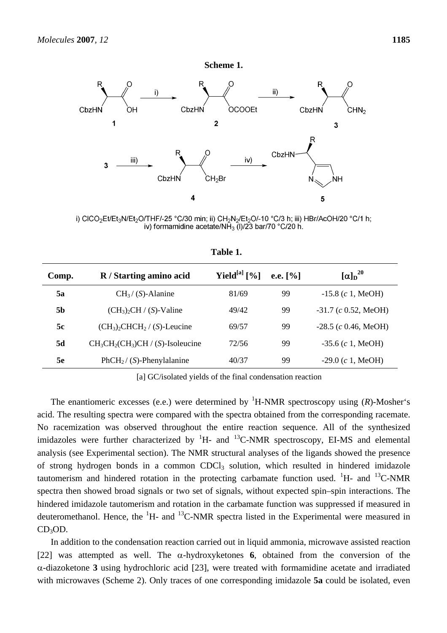

i) CICO<sub>2</sub>Et/Et<sub>3</sub>N/Et<sub>2</sub>O/THF/-25 °C/30 min; ii) CH<sub>2</sub>N<sub>2</sub>/Et<sub>2</sub>O/-10 °C/3 h; iii) HBr/AcOH/20 °C/1 h; iv) formamidine acetate/NH<sub>3</sub> (I)/23 bar/70 °C/20 h.

| Comp.     | R / Starting amino acid              | Yield <sup>[a]</sup> $[\%]$ | e.e. $[%]$ | $\left[\alpha\right]_D^{20}$ |
|-----------|--------------------------------------|-----------------------------|------------|------------------------------|
| 5a        | $CH_3/ (S)$ -Alanine                 | 81/69                       | 99         | $-15.8$ (c 1, MeOH)          |
| <b>5b</b> | $(CH_3)_2CH / (S)$ -Valine           | 49/42                       | 99         | $-31.7$ (c 0.52, MeOH)       |
| 5c        | $(CH_3)_2CHCH_2 / (S)$ -Leucine      | 69/57                       | 99         | $-28.5$ (c 0.46, MeOH)       |
| 5d        | $CH_3CH_2(CH_3)CH / (S)$ -Isoleucine | 72/56                       | 99         | $-35.6$ (c 1, MeOH)          |
| <b>5e</b> | $PhCH2 / (S)$ -Phenylalanine         | 40/37                       | 99         | $-29.0$ (c 1, MeOH)          |

**Table 1.** 

[a] GC/isolated yields of the final condensation reaction

The enantiomeric excesses (e.e.) were determined by <sup>1</sup>H-NMR spectroscopy using ( $R$ )-Mosher's acid. The resulting spectra were compared with the spectra obtained from the corresponding racemate. No racemization was observed throughout the entire reaction sequence. All of the synthesized imidazoles were further characterized by  ${}^{1}H$ - and  ${}^{13}C$ -NMR spectroscopy, EI-MS and elemental analysis (see Experimental section). The NMR structural analyses of the ligands showed the presence of strong hydrogen bonds in a common CDCl<sub>3</sub> solution, which resulted in hindered imidazole tautomerism and hindered rotation in the protecting carbamate function used.  ${}^{1}H$ - and  ${}^{13}C$ -NMR spectra then showed broad signals or two set of signals, without expected spin–spin interactions. The hindered imidazole tautomerism and rotation in the carbamate function was suppressed if measured in deuteromethanol. Hence, the  ${}^{1}H$ - and  ${}^{13}C$ -NMR spectra listed in the Experimental were measured in  $CD<sub>3</sub>OD.$ 

In addition to the condensation reaction carried out in liquid ammonia, microwave assisted reaction [22] was attempted as well. The  $\alpha$ -hydroxyketones **6**, obtained from the conversion of the α-diazoketone **3** using hydrochloric acid [23], were treated with formamidine acetate and irradiated with microwaves (Scheme 2). Only traces of one corresponding imidazole **5a** could be isolated, even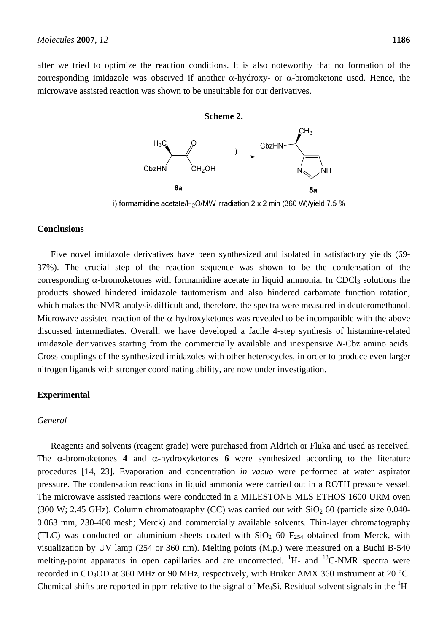after we tried to optimize the reaction conditions. It is also noteworthy that no formation of the corresponding imidazole was observed if another α-hydroxy- or α-bromoketone used. Hence, the microwave assisted reaction was shown to be unsuitable for our derivatives.

#### **Scheme 2.**



i) formamidine acetate/H<sub>2</sub>O/MW irradiation 2 x 2 min (360 W)/yield 7.5 %

#### **Conclusions**

Five novel imidazole derivatives have been synthesized and isolated in satisfactory yields (69- 37%). The crucial step of the reaction sequence was shown to be the condensation of the corresponding  $\alpha$ -bromoketones with formamidine acetate in liquid ammonia. In CDCl<sub>3</sub> solutions the products showed hindered imidazole tautomerism and also hindered carbamate function rotation, which makes the NMR analysis difficult and, therefore, the spectra were measured in deuteromethanol. Microwave assisted reaction of the  $\alpha$ -hydroxyketones was revealed to be incompatible with the above discussed intermediates. Overall, we have developed a facile 4-step synthesis of histamine-related imidazole derivatives starting from the commercially available and inexpensive *N*-Cbz amino acids. Cross-couplings of the synthesized imidazoles with other heterocycles, in order to produce even larger nitrogen ligands with stronger coordinating ability, are now under investigation.

### **Experimental**

#### *General*

Reagents and solvents (reagent grade) were purchased from Aldrich or Fluka and used as received. The  $\alpha$ -bromoketones **4** and  $\alpha$ -hydroxyketones **6** were synthesized according to the literature procedures [14, 23]. Evaporation and concentration *in vacuo* were performed at water aspirator pressure. The condensation reactions in liquid ammonia were carried out in a ROTH pressure vessel. The microwave assisted reactions were conducted in a MILESTONE MLS ETHOS 1600 URM oven (300 W; 2.45 GHz). Column chromatography (CC) was carried out with  $SiO<sub>2</sub>$  60 (particle size 0.040-0.063 mm, 230-400 mesh; Merck) and commercially available solvents. Thin-layer chromatography (TLC) was conducted on aluminium sheets coated with  $SiO<sub>2</sub>$  60  $F<sub>254</sub>$  obtained from Merck, with visualization by UV lamp (254 or 360 nm). Melting points (M.p.) were measured on a Buchi B-540 melting-point apparatus in open capillaries and are uncorrected.  $H$ - and  $H$ <sup>13</sup>C-NMR spectra were recorded in CD<sub>3</sub>OD at 360 MHz or 90 MHz, respectively, with Bruker AMX 360 instrument at 20 °C. Chemical shifts are reported in ppm relative to the signal of Me<sub>4</sub>Si. Residual solvent signals in the  ${}^{1}H$ -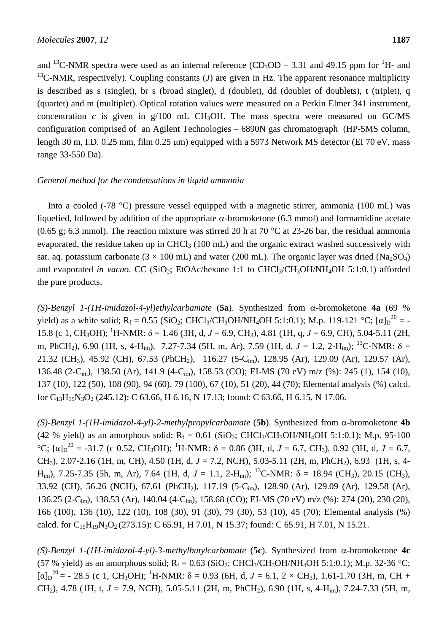and <sup>13</sup>C-NMR spectra were used as an internal reference (CD<sub>3</sub>OD – 3.31 and 49.15 ppm for <sup>1</sup>H- and <sup>13</sup>C-NMR, respectively). Coupling constants (*J*) are given in Hz. The apparent resonance multiplicity is described as s (singlet), br s (broad singlet), d (doublet), dd (doublet of doublets), t (triplet), q (quartet) and m (multiplet). Optical rotation values were measured on a Perkin Elmer 341 instrument, concentration  $c$  is given in  $g/100$  mL CH<sub>3</sub>OH. The mass spectra were measured on GC/MS configuration comprised of an Agilent Technologies – 6890N gas chromatograph (HP-5MS column, length 30 m, I.D. 0.25 mm, film 0.25  $\mu$ m) equipped with a 5973 Network MS detector (EI 70 eV, mass range 33-550 Da).

#### *General method for the condensations in liquid ammonia*

Into a cooled (-78 °C) pressure vessel equipped with a magnetic stirrer, ammonia (100 mL) was liquefied, followed by addition of the appropriate α-bromoketone (6.3 mmol) and formamidine acetate (0.65 g; 6.3 mmol). The reaction mixture was stirred 20 h at 70  $^{\circ}$ C at 23-26 bar, the residual ammonia evaporated, the residue taken up in CHCl<sub>3</sub> (100 mL) and the organic extract washed successively with sat. aq. potassium carbonate ( $3 \times 100$  mL) and water (200 mL). The organic layer was dried (Na<sub>2</sub>SO<sub>4</sub>) and evaporated *in vacuo*. CC (SiO<sub>2</sub>; EtOAc/hexane 1:1 to CHCl<sub>3</sub>/CH<sub>3</sub>OH/NH<sub>4</sub>OH 5:1:0.1) afforded the pure products.

*(S)-Benzyl 1-(1H-imidazol-4-yl)ethylcarbamate* (**5a**). Synthesized from α-bromoketone **4a** (69 % yield) as a white solid;  $R_f = 0.55$  (SiO<sub>2</sub>; CHCl<sub>3</sub>/CH<sub>3</sub>OH/NH<sub>4</sub>OH 5:1:0.1); M.p. 119-121 °C; [ $\alpha$ ]<sub>D</sub><sup>20</sup> = -15.8 (c 1, CH<sub>3</sub>OH); <sup>1</sup>H-NMR: δ = 1.46 (3H, d, *J* = 6.9, CH<sub>3</sub>), 4.81 (1H, q, *J* = 6.9, CH), 5.04-5.11 (2H, m, PhCH<sub>2</sub>), 6.90 (1H, s, 4-H<sub>im</sub>), 7.27-7.34 (5H, m, Ar), 7.59 (1H, d,  $J = 1.2$ , 2-H<sub>im</sub>); <sup>13</sup>C-NMR:  $\delta =$ 21.32 (CH<sub>3</sub>), 45.92 (CH), 67.53 (PhCH<sub>2</sub>), 116.27 (5-C<sub>im</sub>), 128.95 (Ar), 129.09 (Ar), 129.57 (Ar), 136.48 (2-Cim), 138.50 (Ar), 141.9 (4-Cim), 158.53 (CO); EI-MS (70 eV) m/z (%): 245 (1), 154 (10), 137 (10), 122 (50), 108 (90), 94 (60), 79 (100), 67 (10), 51 (20), 44 (70); Elemental analysis (%) calcd. for  $C_{13}H_{15}N_3O_2$  (245.12): C 63.66, H 6.16, N 17.13; found: C 63.66, H 6.15, N 17.06.

*(S)-Benzyl 1-(1H-imidazol-4-yl)-2-methylpropylcarbamate* (**5b**). Synthesized from α-bromoketone **4b** (42 % yield) as an amorphous solid;  $R_f = 0.61$  (SiO<sub>2</sub>; CHCl<sub>3</sub>/CH<sub>3</sub>OH/NH<sub>4</sub>OH 5:1:0.1); M.p. 95-100 °C; [α]<sub>D</sub><sup>20</sup> = -31.7 (c 0.52, CH<sub>3</sub>OH); <sup>1</sup>H-NMR: δ = 0.86 (3H, d, *J* = 6.7, CH<sub>3</sub>), 0.92 (3H, d, *J* = 6.7, CH3), 2.07-2.16 (1H, m, CH), 4.50 (1H, d, *J* = 7.2, NCH), 5.03-5.11 (2H, m, PhCH2), 6.93 (1H, s, 4- H<sub>im</sub>), 7.25-7.35 (5h, m, Ar), 7.64 (1H, d,  $J = 1.1$ , 2-H<sub>im</sub>); <sup>13</sup>C-NMR:  $\delta = 18.94$  (CH<sub>3</sub>), 20.15 (CH<sub>3</sub>), 33.92 (CH), 56.26 (NCH), 67.61 (PhCH<sub>2</sub>), 117.19 (5-C<sub>im</sub>), 128.90 (Ar), 129.09 (Ar), 129.58 (Ar), 136.25 (2-Cim), 138.53 (Ar), 140.04 (4-Cim), 158.68 (CO); EI-MS (70 eV) m/z (%): 274 (20), 230 (20), 166 (100), 136 (10), 122 (10), 108 (30), 91 (30), 79 (30), 53 (10), 45 (70); Elemental analysis (%) calcd. for  $C_{15}H_{19}N_3O_2(273.15)$ : C 65.91, H 7.01, N 15.37; found: C 65.91, H 7.01, N 15.21.

*(S)-Benzyl 1-(1H-imidazol-4-yl)-3-methylbutylcarbamate* (**5c**). Synthesized from α-bromoketone **4c** (57 % yield) as an amorphous solid;  $R_f = 0.63$  (SiO<sub>2</sub>; CHCl<sub>3</sub>/CH<sub>3</sub>OH/NH<sub>4</sub>OH 5:1:0.1); M.p. 32-36 °C;  $[\alpha]_D^{20}$  = - 28.5 (c 1, CH<sub>3</sub>OH); <sup>1</sup>H-NMR:  $\delta$  = 0.93 (6H, d, *J* = 6.1, 2 × CH<sub>3</sub>), 1.61-1.70 (3H, m, CH + CH<sub>2</sub>), 4.78 (1H, t,  $J = 7.9$ , NCH), 5.05-5.11 (2H, m, PhCH<sub>2</sub>), 6.90 (1H, s, 4-H<sub>im</sub>), 7.24-7.33 (5H, m,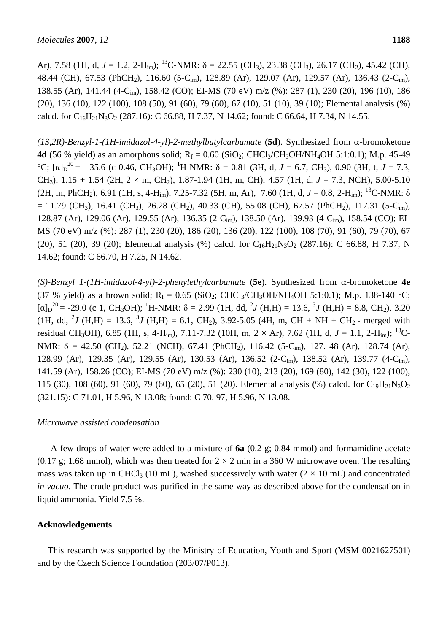Ar), 7.58 (1H, d,  $J = 1.2$ , 2-H<sub>im</sub>); <sup>13</sup>C-NMR:  $\delta = 22.55$  (CH<sub>3</sub>), 23.38 (CH<sub>3</sub>), 26.17 (CH<sub>2</sub>), 45.42 (CH), 48.44 (CH), 67.53 (PhCH<sub>2</sub>), 116.60 (5-C<sub>im</sub>), 128.89 (Ar), 129.07 (Ar), 129.57 (Ar), 136.43 (2-C<sub>im</sub>), 138.55 (Ar), 141.44 (4-Cim), 158.42 (CO); EI-MS (70 eV) m/z (%): 287 (1), 230 (20), 196 (10), 186 (20), 136 (10), 122 (100), 108 (50), 91 (60), 79 (60), 67 (10), 51 (10), 39 (10); Elemental analysis (%) calcd. for  $C_{16}H_{21}N_3O_2$  (287.16): C 66.88, H 7.37, N 14.62; found: C 66.64, H 7.34, N 14.55.

*(1S,2R)-Benzyl-1-(1H-imidazol-4-yl)-2-methylbutylcarbamate* (**5d**). Synthesized from α-bromoketone **4d** (56 % yield) as an amorphous solid;  $R_f = 0.60$  (SiO<sub>2</sub>; CHCl<sub>3</sub>/CH<sub>3</sub>OH/NH<sub>4</sub>OH 5:1:0.1); M.p. 45-49 <sup>o</sup>C; [α]<sub>D</sub><sup>20</sup> = - 35.6 (c 0.46, CH<sub>3</sub>OH); <sup>1</sup>H-NMR: δ = 0.81 (3H, d, *J* = 6.7, CH<sub>3</sub>), 0.90 (3H, t, *J* = 7.3, CH<sub>3</sub>),  $1.15 + 1.54$  (2H,  $2 \times m$ , CH<sub>2</sub>),  $1.87-1.94$  (1H, m, CH),  $4.57$  (1H, d,  $J = 7.3$ , NCH),  $5.00-5.10$ (2H, m, PhCH2), 6.91 (1H, s, 4-Him), 7.25-7.32 (5H, m, Ar), 7.60 (1H, d, *J* = 0.8, 2-Him); 13C-NMR: δ  $= 11.79$  (CH<sub>3</sub>), 16.41 (CH<sub>3</sub>), 26.28 (CH<sub>2</sub>), 40.33 (CH), 55.08 (CH), 67.57 (PhCH<sub>2</sub>), 117.31 (5-C<sub>im</sub>), 128.87 (Ar), 129.06 (Ar), 129.55 (Ar), 136.35 (2-Cim), 138.50 (Ar), 139.93 (4-Cim), 158.54 (CO); EI-MS (70 eV) m/z (%): 287 (1), 230 (20), 186 (20), 136 (20), 122 (100), 108 (70), 91 (60), 79 (70), 67 (20), 51 (20), 39 (20); Elemental analysis (%) calcd. for  $C_{16}H_{21}N_3O_2$  (287.16): C 66.88, H 7.37, N 14.62; found: C 66.70, H 7.25, N 14.62.

*(S)-Benzyl 1-(1H-imidazol-4-yl)-2-phenylethylcarbamate* (**5e**). Synthesized from α-bromoketone **4e** (37 % yield) as a brown solid;  $R_f = 0.65$  (SiO<sub>2</sub>; CHCl<sub>3</sub>/CH<sub>3</sub>OH/NH<sub>4</sub>OH 5:1:0.1); M.p. 138-140 °C;  $[\alpha]_D^{20} = -29.0$  (c 1, CH<sub>3</sub>OH); <sup>1</sup>H-NMR:  $\delta = 2.99$  (1H, dd, <sup>2</sup>*J* (H,H) = 13.6, <sup>3</sup>*J* (H,H) = 8.8, CH<sub>2</sub>), 3.20 (1H, dd, <sup>2</sup>*J* (H,H) = 13.6, <sup>3</sup>*J* (H,H) = 6.1, CH<sub>2</sub>), 3.92-5.05 (4H, m, CH + NH + CH<sub>2</sub> - merged with residual CH<sub>3</sub>OH), 6.85 (1H, s, 4-H<sub>im</sub>), 7.11-7.32 (10H, m, 2 × Ar), 7.62 (1H, d, J = 1.1, 2-H<sub>im</sub>); <sup>13</sup>C-NMR:  $\delta = 42.50$  (CH<sub>2</sub>), 52.21 (NCH), 67.41 (PhCH<sub>2</sub>), 116.42 (5-C<sub>im</sub>), 127. 48 (Ar), 128.74 (Ar), 128.99 (Ar), 129.35 (Ar), 129.55 (Ar), 130.53 (Ar), 136.52 (2-Cim), 138.52 (Ar), 139.77 (4-Cim), 141.59 (Ar), 158.26 (CO); EI-MS (70 eV) m/z (%): 230 (10), 213 (20), 169 (80), 142 (30), 122 (100), 115 (30), 108 (60), 91 (60), 79 (60), 65 (20), 51 (20). Elemental analysis (%) calcd. for  $C_{19}H_{21}N_3O_2$ (321.15): C 71.01, H 5.96, N 13.08; found: C 70. 97, H 5.96, N 13.08.

### *Microwave assisted condensation*

A few drops of water were added to a mixture of **6a** (0.2 g; 0.84 mmol) and formamidine acetate (0.17 g; 1.68 mmol), which was then treated for  $2 \times 2$  min in a 360 W microwave oven. The resulting mass was taken up in CHCl<sub>3</sub> (10 mL), washed successively with water  $(2 \times 10 \text{ mL})$  and concentrated *in vacuo*. The crude product was purified in the same way as described above for the condensation in liquid ammonia. Yield 7.5 %.

### **Acknowledgements**

This research was supported by the Ministry of Education, Youth and Sport (MSM 0021627501) and by the Czech Science Foundation (203/07/P013).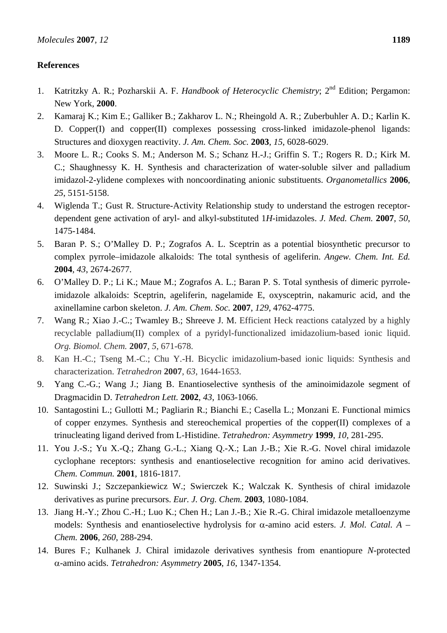## **References**

- 1. Katritzky A. R.; Pozharskii A. F. *Handbook of Heterocyclic Chemistry*; 2nd Edition; Pergamon: New York, **2000**.
- 2. Kamaraj K.; Kim E.; Galliker B.; Zakharov L. N.; Rheingold A. R.; Zuberbuhler A. D.; Karlin K. D. Copper(I) and copper(II) complexes possessing cross-linked imidazole-phenol ligands: Structures and dioxygen reactivity. *J. Am. Chem. Soc.* **2003**, *15*, 6028-6029.
- 3. Moore L. R.; Cooks S. M.; Anderson M. S.; Schanz H.-J.; Griffin S. T.; Rogers R. D.; Kirk M. C.; Shaughnessy K. H. Synthesis and characterization of water-soluble silver and palladium imidazol-2-ylidene complexes with noncoordinating anionic substituents. *Organometallics* **2006**, *25*, 5151-5158.
- 4. Wiglenda T.; Gust R. Structure-Activity Relationship study to understand the estrogen receptordependent gene activation of aryl- and alkyl-substituted 1*H*-imidazoles. *J. Med. Chem.* **2007**, *50*, 1475-1484.
- 5. Baran P. S.; O'Malley D. P.; Zografos A. L. Sceptrin as a potential biosynthetic precursor to complex pyrrole–imidazole alkaloids: The total synthesis of ageliferin. *Angew. Chem. Int. Ed.*  **2004**, *43*, 2674-2677.
- 6. O'Malley D. P.; Li K.; Maue M.; Zografos A. L.; Baran P. S. Total synthesis of dimeric pyrroleimidazole alkaloids: Sceptrin, ageliferin, nagelamide E, oxysceptrin, nakamuric acid, and the axinellamine carbon skeleton. *J. Am. Chem. Soc.* **2007**, *129*, 4762-4775.
- 7. Wang R.; Xiao J.-C.; Twamley B.; Shreeve J. M. Efficient Heck reactions catalyzed by a highly recyclable palladium(II) complex of a pyridyl-functionalized imidazolium-based ionic liquid. *Org. Biomol. Chem.* **2007**, *5*, 671-678.
- 8. Kan H.-C.; Tseng M.-C.; Chu Y.-H. Bicyclic imidazolium-based ionic liquids: Synthesis and characterization. *Tetrahedron* **2007**, *63*, 1644-1653.
- 9. Yang C.-G.; Wang J.; Jiang B. Enantioselective synthesis of the aminoimidazole segment of Dragmacidin D. *Tetrahedron Lett.* **2002**, *43*, 1063-1066.
- 10. Santagostini L.; Gullotti M.; Pagliarin R.; Bianchi E.; Casella L.; Monzani E. Functional mimics of copper enzymes. Synthesis and stereochemical properties of the copper(II) complexes of a trinucleating ligand derived from L-Histidine. *Tetrahedron: Asymmetry* **1999**, *10*, 281-295.
- 11. You J.-S.; Yu X.-Q.; Zhang G.-L.; Xiang Q.-X.; Lan J.-B.; Xie R.-G. Novel chiral imidazole cyclophane receptors: synthesis and enantioselective recognition for amino acid derivatives. *Chem. Commun.* **2001**, 1816-1817.
- 12. Suwinski J.; Szczepankiewicz W.; Swierczek K.; Walczak K. Synthesis of chiral imidazole derivatives as purine precursors. *Eur. J. Org. Chem.* **2003**, 1080-1084.
- 13. Jiang H.-Y.; Zhou C.-H.; Luo K.; Chen H.; Lan J.-B.; Xie R.-G. Chiral imidazole metalloenzyme models: Synthesis and enantioselective hydrolysis for α-amino acid esters. *J. Mol. Catal. A – Chem.* **2006**, *260*, 288-294.
- 14. Bures F.; Kulhanek J. Chiral imidazole derivatives synthesis from enantiopure *N*-protected α-amino acids. *Tetrahedron: Asymmetry* **2005**, *16*, 1347-1354.